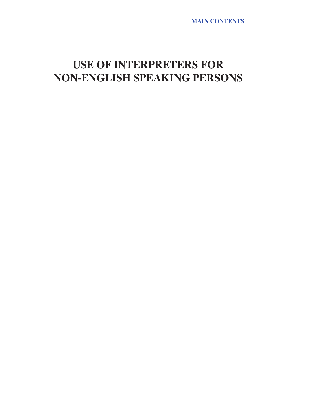**MAIN CONTENTS**

# **USE OF INTERPRETERS FOR NON-ENGLISH SPEAKING PERSONS**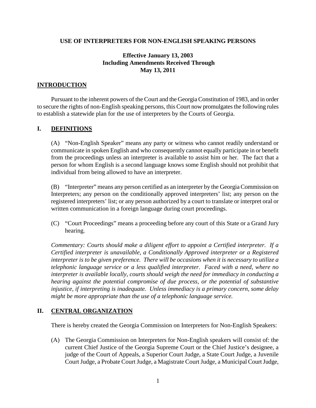#### **USE OF INTERPRETERS FOR NON-ENGLISH SPEAKING PERSONS**

## **Effective January 13, 2003 Including Amendments Received Through May 13, 2011**

#### **INTRODUCTION**

Pursuant to the inherent powers of the Court and the Georgia Constitution of 1983, and in order to secure the rights of non-English speaking persons, this Court now promulgates the following rules to establish a statewide plan for the use of interpreters by the Courts of Georgia.

#### **I. DEFINITIONS**

(A) "Non-English Speaker" means any party or witness who cannot readily understand or communicate in spoken English and who consequently cannot equally participate in or benefit from the proceedings unless an interpreter is available to assist him or her. The fact that a person for whom English is a second language knows some English should not prohibit that individual from being allowed to have an interpreter.

(B) "Interpreter" means any person certified as an interpreter by the Georgia Commission on Interpreters; any person on the conditionally approved interpreters' list; any person on the registered interpreters' list; or any person authorized by a court to translate or interpret oral or written communication in a foreign language during court proceedings.

(C) "Court Proceedings" means a proceeding before any court of this State or a Grand Jury hearing.

*Commentary: Courts should make a diligent effort to appoint a Certified interpreter. If a Certified interpreter is unavailable, a Conditionally Approved interpreter or a Registered interpreter is to be given preference. There will be occasions when it is necessary to utilize a telephonic language service or a less qualified interpreter. Faced with a need, where no interpreter is available locally, courts should weigh the need for immediacy in conducting a hearing against the potential compromise of due process, or the potential of substantive injustice, if interpreting is inadequate. Unless immediacy is a primary concern, some delay might be more appropriate than the use of a telephonic language service.*

## **II. CENTRAL ORGANIZATION**

There is hereby created the Georgia Commission on Interpreters for Non-English Speakers:

(A) The Georgia Commission on Interpreters for Non-English speakers will consist of: the current Chief Justice of the Georgia Supreme Court or the Chief Justice's designee, a judge of the Court of Appeals, a Superior Court Judge, a State Court Judge, a Juvenile Court Judge, a Probate Court Judge, a Magistrate Court Judge, a Municipal Court Judge,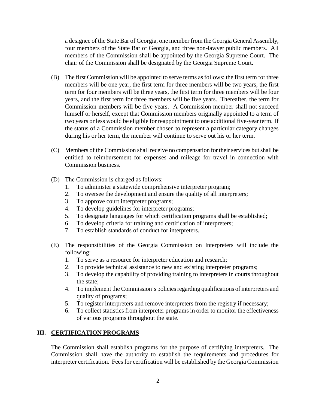a designee of the State Bar of Georgia, one member from the Georgia General Assembly, four members of the State Bar of Georgia, and three non-lawyer public members*.* All members of the Commission shall be appointed by the Georgia Supreme Court. The chair of the Commission shall be designated by the Georgia Supreme Court.

- (B) The first Commission will be appointed to serve terms as follows: the first term for three members will be one year, the first term for three members will be two years, the first term for four members will be three years, the first term for three members will be four years, and the first term for three members will be five years. Thereafter, the term for Commission members will be five years. A Commission member shall not succeed himself or herself, except that Commission members originally appointed to a term of two years or less would be eligible for reappointment to one additional five-year term. If the status of a Commission member chosen to represent a particular category changes during his or her term, the member will continue to serve out his or her term.
- (C) Members of the Commission shall receive no compensation for their services but shall be entitled to reimbursement for expenses and mileage for travel in connection with Commission business.
- (D) The Commission is charged as follows:
	- 1. To administer a statewide comprehensive interpreter program;
	- 2. To oversee the development and ensure the quality of all interpreters;
	- 3. To approve court interpreter programs;
	- 4. To develop guidelines for interpreter programs;
	- 5. To designate languages for which certification programs shall be established;
	- 6. To develop criteria for training and certification of interpreters;
	- 7. To establish standards of conduct for interpreters.
- (E) The responsibilities of the Georgia Commission on Interpreters will include the following:
	- 1. To serve as a resource for interpreter education and research;
	- 2. To provide technical assistance to new and existing interpreter programs;
	- 3. To develop the capability of providing training to interpreters in courts throughout the state;
	- 4. To implement the Commission's policies regarding qualifications of interpreters and quality of programs;
	- 5. To register interpreters and remove interpreters from the registry if necessary;
	- 6. To collect statistics from interpreter programs in order to monitor the effectiveness of various programs throughout the state.

## **III. CERTIFICATION PROGRAMS**

The Commission shall establish programs for the purpose of certifying interpreters. The Commission shall have the authority to establish the requirements and procedures for interpreter certification. Fees for certification will be established by the Georgia Commission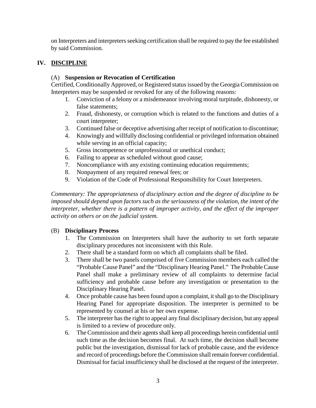on Interpreters and interpreters seeking certification shall be required to pay the fee established by said Commission.

# **IV. DISCIPLINE**

## (A) **Suspension or Revocation of Certification**

Certified, Conditionally Approved, or Registered status issued by the Georgia Commission on Interpreters may be suspended or revoked for any of the following reasons:

- 1. Conviction of a felony or a misdemeanor involving moral turpitude, dishonesty, or false statements;
- 2. Fraud, dishonesty, or corruption which is related to the functions and duties of a court interpreter;
- 3. Continued false or deceptive advertising after receipt of notification to discontinue;
- 4. Knowingly and willfully disclosing confidential or privileged information obtained while serving in an official capacity;
- 5. Gross incompetence or unprofessional or unethical conduct;
- 6. Failing to appear as scheduled without good cause;
- 7. Noncompliance with any existing continuing education requirements;
- 8. Nonpayment of any required renewal fees; or
- 9. Violation of the Code of Professional Responsibility for Court Interpreters.

*Commentary: The appropriateness of disciplinary action and the degree of discipline to be imposed should depend upon factors such as the seriousness of the violation, the intent of the interpreter, whether there is a pattern of improper activity, and the effect of the improper activity on others or on the judicial system.*

## (B) **Disciplinary Process**

- 1. The Commission on Interpreters shall have the authority to set forth separate disciplinary procedures not inconsistent with this Rule.
- 2. There shall be a standard form on which all complaints shall be filed.
- 3. There shall be two panels comprised of five Commission members each called the "Probable Cause Panel" and the "Disciplinary Hearing Panel." The Probable Cause Panel shall make a preliminary review of all complaints to determine facial sufficiency and probable cause before any investigation or presentation to the Disciplinary Hearing Panel.
- 4. Once probable cause has been found upon a complaint, it shall go to the Disciplinary Hearing Panel for appropriate disposition. The interpreter is permitted to be represented by counsel at his or her own expense.
- 5. The interpreter has the right to appeal any final disciplinary decision, but any appeal is limited to a review of procedure only.
- 6. The Commission and their agents shall keep all proceedings herein confidential until such time as the decision becomes final. At such time, the decision shall become public but the investigation, dismissal for lack of probable cause, and the evidence and record of proceedings before the Commission shall remain forever confidential. Dismissal for facial insufficiency shall be disclosed at the request of the interpreter.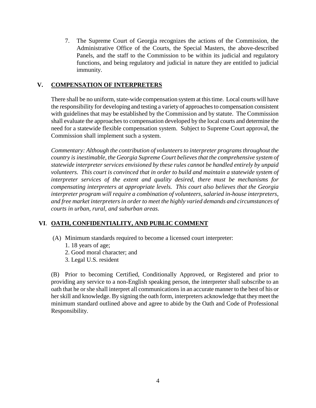7. The Supreme Court of Georgia recognizes the actions of the Commission, the Administrative Office of the Courts, the Special Masters, the above-described Panels, and the staff to the Commission to be within its judicial and regulatory functions, and being regulatory and judicial in nature they are entitled to judicial immunity.

## **V. COMPENSATION OF INTERPRETERS**

There shall be no uniform, state-wide compensation system at this time. Local courts will have the responsibility for developing and testing a variety of approaches to compensation consistent with guidelines that may be established by the Commission and by statute. The Commission shall evaluate the approaches to compensation developed by the local courts and determine the need for a statewide flexible compensation system. Subject to Supreme Court approval, the Commission shall implement such a system.

*Commentary: Although the contribution of volunteers to interpreter programs throughout the country is inestimable, the Georgia Supreme Court believes that the comprehensive system of statewide interpreter services envisioned by these rules cannot be handled entirely by unpaid volunteers. This court is convinced that in order to build and maintain a statewide system of interpreter services of the extent and quality desired, there must be mechanisms for compensating interpreters at appropriate levels. This court also believes that the Georgia interpreter program will require a combination of volunteers, salaried in-house interpreters, and free market interpreters in order to meet the highly varied demands and circumstances of courts in urban, rural, and suburban areas.*

# **VI**. **OATH, CONFIDENTIALITY, AND PUBLIC COMMENT**

- (A) Minimum standards required to become a licensed court interpreter:
	- 1. 18 years of age;
	- 2. Good moral character; and
	- 3. Legal U.S. resident

(B) Prior to becoming Certified, Conditionally Approved, or Registered and prior to providing any service to a non-English speaking person, the interpreter shall subscribe to an oath that he or she shall interpret all communications in an accurate manner to the best of his or her skill and knowledge. By signing the oath form, interpreters acknowledge that they meet the minimum standard outlined above and agree to abide by the Oath and Code of Professional Responsibility.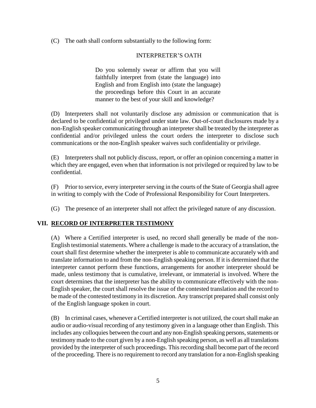(C) The oath shall conform substantially to the following form:

#### INTERPRETER'S OATH

Do you solemnly swear or affirm that you will faithfully interpret from (state the language) into English and from English into (state the language) the proceedings before this Court in an accurate manner to the best of your skill and knowledge?

(D) Interpreters shall not voluntarily disclose any admission or communication that is declared to be confidential or privileged under state law. Out-of-court disclosures made by a non-English speaker communicating through an interpreter shall be treated by the interpreter as confidential and/or privileged unless the court orders the interpreter to disclose such communications or the non-English speaker waives such confidentiality or privilege.

(E) Interpreters shall not publicly discuss, report, or offer an opinion concerning a matter in which they are engaged, even when that information is not privileged or required by law to be confidential.

(F) Prior to service, every interpreter serving in the courts of the State of Georgia shall agree in writing to comply with the Code of Professional Responsibility for Court Interpreters.

(G) The presence of an interpreter shall not affect the privileged nature of any discussion.

## **VII. RECORD OF INTERPRETER TESTIMONY**

(A) Where a Certified interpreter is used, no record shall generally be made of the non-English testimonial statements. Where a challenge is made to the accuracy of a translation, the court shall first determine whether the interpreter is able to communicate accurately with and translate information to and from the non-English speaking person. If it is determined that the interpreter cannot perform these functions, arrangements for another interpreter should be made, unless testimony that is cumulative, irrelevant, or immaterial is involved. Where the court determines that the interpreter has the ability to communicate effectively with the non-English speaker, the court shall resolve the issue of the contested translation and the record to be made of the contested testimony in its discretion. Any transcript prepared shall consist only of the English language spoken in court.

(B) In criminal cases, whenever a Certified interpreter is not utilized, the court shall make an audio or audio-visual recording of any testimony given in a language other than English. This includes any colloquies between the court and any non-English speaking persons, statements or testimony made to the court given by a non-English speaking person, as well as all translations provided by the interpreter of such proceedings. This recording shall become part of the record of the proceeding. There is no requirement to record any translation for a non-English speaking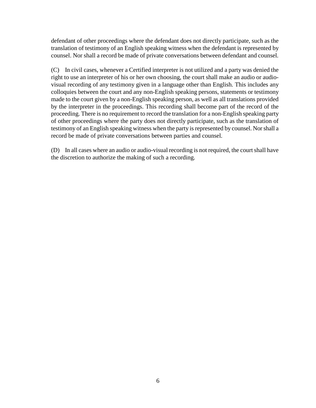defendant of other proceedings where the defendant does not directly participate, such as the translation of testimony of an English speaking witness when the defendant is represented by counsel. Nor shall a record be made of private conversations between defendant and counsel*.*

(C) In civil cases, whenever a Certified interpreter is not utilized and a party was denied the right to use an interpreter of his or her own choosing, the court shall make an audio or audiovisual recording of any testimony given in a language other than English. This includes any colloquies between the court and any non-English speaking persons, statements or testimony made to the court given by a non-English speaking person, as well as all translations provided by the interpreter in the proceedings. This recording shall become part of the record of the proceeding. There is no requirement to record the translation for a non-English speaking party of other proceedings where the party does not directly participate, such as the translation of testimony of an English speaking witness when the party is represented by counsel. Nor shall a record be made of private conversations between parties and counsel*.*

(D) In all cases where an audio or audio-visual recording is not required, the court shall have the discretion to authorize the making of such a recording.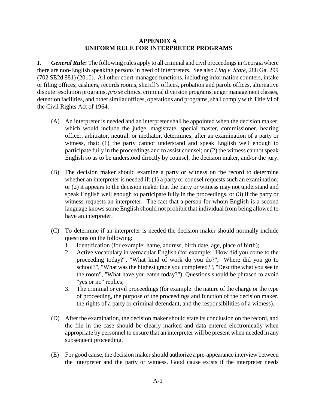#### **APPENDIX A UNIFORM RULE FOR INTERPRETER PROGRAMS**

**I.** *General Rule***:** The following rules apply to all criminal and civil proceedings in Georgia where there are non-English speaking persons in need of interpreters. See also *Ling v. State*, 288 Ga. 299 (702 SE2d 881) (2010). All other court-managed functions, including information counters, intake or filing offices, cashiers, records rooms, sheriff's offices, probation and parole offices, alternative dispute resolution programs, *pro se* clinics, criminal diversion programs, anger management classes, detention facilities, and other similar offices, operations and programs, shall comply with Title VI of the Civil Rights Act of 1964.

- (A) An interpreter is needed and an interpreter shall be appointed when the decision maker, which would include the judge, magistrate, special master, commissioner, hearing officer, arbitrator, neutral, or mediator, determines, after an examination of a party or witness, that: (1) the party cannot understand and speak English well enough to participate fully in the proceedings and to assist counsel; or (2) the witness cannot speak English so as to be understood directly by counsel, the decision maker, and/or the jury.
- (B) The decision maker should examine a party or witness on the record to determine whether an interpreter is needed if: (1) a party or counsel requests such an examination; or (2) it appears to the decision maker that the party or witness may not understand and speak English well enough to participate fully in the proceedings, or (3) if the party or witness requests an interpreter. The fact that a person for whom English is a second language knows some English should not prohibit that individual from being allowed to have an interpreter.
- (C) To determine if an interpreter is needed the decision maker should normally include questions on the following:
	- 1. Identification (for example: name, address, birth date, age, place of birth);
	- 2. Active vocabulary in vernacular English (for example: "How did you come to the proceeding today?", "What kind of work do you do?", "Where did you go to school?", "What was the highest grade you completed?", "Describe what you see in the room", "What have you eaten today?"). Questions should be phrased to avoid "yes or no" replies;
	- 3. The criminal or civil proceedings (for example: the nature of the charge or the type of proceeding, the purpose of the proceedings and function of the decision maker, the rights of a party or criminal defendant, and the responsibilities of a witness).
- (D) After the examination, the decision maker should state its conclusion on the record, and the file in the case should be clearly marked and data entered electronically when appropriate by personnel to ensure that an interpreter will be present when needed in any subsequent proceeding.
- (E) For good cause, the decision makershould authorize a pre-appearance interview between the interpreter and the party or witness. Good cause exists if the interpreter needs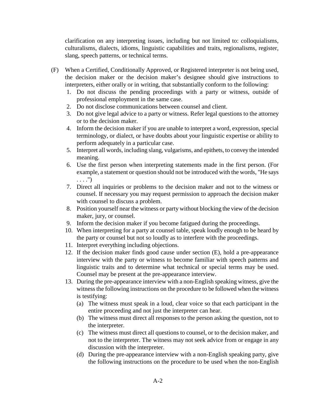clarification on any interpreting issues, including but not limited to: colloquialisms, culturalisms, dialects, idioms, linguistic capabilities and traits, regionalisms, register, slang, speech patterns, or technical terms.

- (F) When a Certified, Conditionally Approved, or Registered interpreter is not being used, the decision maker or the decision maker's designee should give instructions to interpreters, either orally or in writing, that substantially conform to the following:
	- 1. Do not discuss the pending proceedings with a party or witness, outside of professional employment in the same case.
	- 2. Do not disclose communications between counsel and client.
	- 3. Do not give legal advice to a party or witness. Refer legal questions to the attorney or to the decision maker.
	- 4. Inform the decision maker if you are unable to interpret a word, expression, special terminology, or dialect, or have doubts about your linguistic expertise or ability to perform adequately in a particular case.
	- 5. Interpret all words, including slang, vulgarisms, and epithets, to convey the intended meaning.
	- 6. Use the first person when interpreting statements made in the first person. (For example, a statement or question should not be introduced with the words, "He says . . . .")
	- 7. Direct all inquiries or problems to the decision maker and not to the witness or counsel. If necessary you may request permission to approach the decision maker with counsel to discuss a problem.
	- 8. Position yourself near the witness or party without blocking the view of the decision maker, jury, or counsel.
	- 9. Inform the decision maker if you become fatigued during the proceedings.
	- 10. When interpreting for a party at counsel table, speak loudly enough to be heard by the party or counsel but not so loudly as to interfere with the proceedings.
	- 11. Interpret everything including objections.
	- 12. If the decision maker finds good cause under section (E), hold a pre-appearance interview with the party or witness to become familiar with speech patterns and linguistic traits and to determine what technical or special terms may be used. Counsel may be present at the pre-appearance interview.
	- 13. During the pre-appearance interview with a non-English speaking witness, give the witness the following instructions on the procedure to be followed when the witness is testifying:
		- (a) The witness must speak in a loud, clear voice so that each participant in the entire proceeding and not just the interpreter can hear.
		- (b) The witness must direct all responses to the person asking the question, not to the interpreter.
		- (c) The witness must direct all questions to counsel, or to the decision maker, and not to the interpreter. The witness may not seek advice from or engage in any discussion with the interpreter.
		- (d) During the pre-appearance interview with a non-English speaking party, give the following instructions on the procedure to be used when the non-English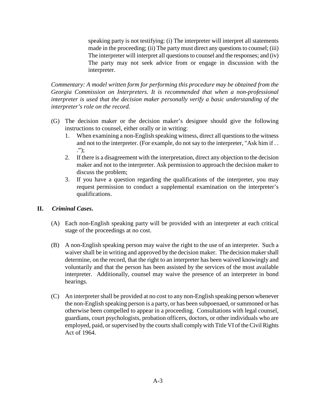speaking party is not testifying: (i) The interpreter will interpret all statements made in the proceeding; (ii) The party must direct any questions to counsel; (iii) The interpreter will interpret all questions to counsel and the responses; and (iv) The party may not seek advice from or engage in discussion with the interpreter.

*Commentary: A model written form for performing this procedure may be obtained from the Georgia Commission on Interpreters. It is recommended that when a non-professional interpreter is used that the decision maker personally verify a basic understanding of the interpreter's role on the record.* 

- (G) The decision maker or the decision maker's designee should give the following instructions to counsel, either orally or in writing:
	- 1. When examining a non-English speaking witness, direct all questions to the witness and not to the interpreter. (For example, do not say to the interpreter, "Ask him if . . .");
	- 2. If there is a disagreement with the interpretation, direct any objection to the decision maker and not to the interpreter. Ask permission to approach the decision maker to discuss the problem;
	- 3. If you have a question regarding the qualifications of the interpreter, you may request permission to conduct a supplemental examination on the interpreter's qualifications.

## **II.** *Criminal Cases***.**

- (A) Each non-English speaking party will be provided with an interpreter at each critical stage of the proceedings at no cost.
- (B) A non-English speaking person may waive the right to the use of an interpreter. Such a waiver shall be in writing and approved by the decision maker. The decision makershall determine, on the record, that the right to an interpreter has been waived knowingly and voluntarily and that the person has been assisted by the services of the most available interpreter. Additionally, counsel may waive the presence of an interpreter in bond hearings.
- (C) An interpreter shall be provided at no cost to any non-English speaking person whenever the non-English speaking person is a party, or has been subpoenaed, or summoned or has otherwise been compelled to appear in a proceeding. Consultations with legal counsel, guardians, court psychologists, probation officers, doctors, or other individuals who are employed, paid, or supervised by the courts shall comply with Title VI of the Civil Rights Act of 1964.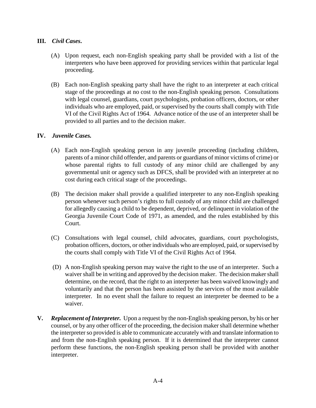## **III.** *Civil Cases***.**

- (A) Upon request, each non-English speaking party shall be provided with a list of the interpreters who have been approved for providing services within that particular legal proceeding.
- (B) Each non-English speaking party shall have the right to an interpreter at each critical stage of the proceedings at no cost to the non-English speaking person. Consultations with legal counsel, guardians, court psychologists, probation officers, doctors, or other individuals who are employed, paid, or supervised by the courts shall comply with Title VI of the Civil Rights Act of 1964. Advance notice of the use of an interpreter shall be provided to all parties and to the decision maker.

#### **IV.** *Juvenile Cases.*

- (A) Each non-English speaking person in any juvenile proceeding (including children, parents of a minor child offender, and parents or guardians of minor victims of crime) or whose parental rights to full custody of any minor child are challenged by any governmental unit or agency such as DFCS, shall be provided with an interpreter at no cost during each critical stage of the proceedings.
- (B) The decision maker shall provide a qualified interpreter to any non-English speaking person whenever such person's rights to full custody of any minor child are challenged for allegedly causing a child to be dependent, deprived, or delinquent in violation of the Georgia Juvenile Court Code of 1971, as amended, and the rules established by this Court.
- (C) Consultations with legal counsel, child advocates, guardians, court psychologists, probation officers, doctors, or other individuals who are employed, paid, or supervised by the courts shall comply with Title VI of the Civil Rights Act of 1964.
- (D) A non-English speaking person may waive the right to the use of an interpreter. Such a waiver shall be in writing and approved by the decision maker. The decision makershall determine, on the record, that the right to an interpreter has been waived knowingly and voluntarily and that the person has been assisted by the services of the most available interpreter. In no event shall the failure to request an interpreter be deemed to be a waiver.
- **V.** *Replacement of Interpreter.* Upon a request by the non-English speaking person, by his or her counsel, or by any other officer of the proceeding, the decision maker shall determine whether the interpreter so provided is able to communicate accurately with and translate information to and from the non-English speaking person. If it is determined that the interpreter cannot perform these functions, the non-English speaking person shall be provided with another interpreter.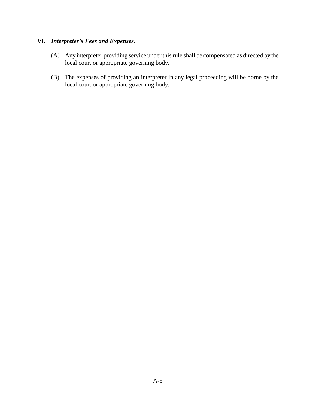# **VI.** *Interpreter's Fees and Expenses.*

- (A) Any interpreter providing service under this rule shall be compensated as directed by the local court or appropriate governing body.
- (B) The expenses of providing an interpreter in any legal proceeding will be borne by the local court or appropriate governing body.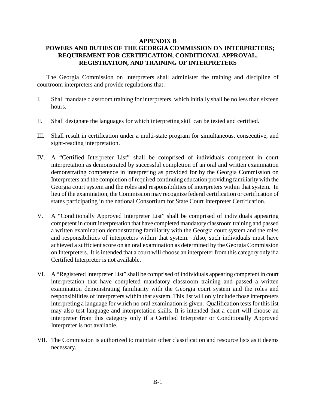#### **APPENDIX B**

# **POWERS AND DUTIES OF THE GEORGIA COMMISSION ON INTERPRETERS; REQUIREMENT FOR CERTIFICATION, CONDITIONAL APPROVAL, REGISTRATION, AND TRAINING OF INTERPRETERS**

The Georgia Commission on Interpreters shall administer the training and discipline of courtroom interpreters and provide regulations that:

- I. Shall mandate classroom training for interpreters, which initially shall be no less than sixteen hours.
- II. Shall designate the languages for which interpreting skill can be tested and certified.
- III. Shall result in certification under a multi-state program for simultaneous, consecutive, and sight-reading interpretation.
- IV. A "Certified Interpreter List" shall be comprised of individuals competent in court interpretation as demonstrated by successful completion of an oral and written examination demonstrating competence in interpreting as provided for by the Georgia Commission on Interpreters and the completion of required continuing education providing familiarity with the Georgia court system and the roles and responsibilities of interpreters within that system. In lieu of the examination, the Commission may recognize federal certification or certification of states participating in the national Consortium for State Court Interpreter Certification.
- V. A "Conditionally Approved Interpreter List" shall be comprised of individuals appearing competent in court interpretation that have completed mandatory classroom training and passed a written examination demonstrating familiarity with the Georgia court system and the roles and responsibilities of interpreters within that system. Also, such individuals must have achieved a sufficient score on an oral examination as determined by the Georgia Commission on Interpreters. It is intended that a court will choose an interpreter from this category only if a Certified Interpreter is not available.
- VI. A "Registered Interpreter List" shall be comprised of individuals appearing competent in court interpretation that have completed mandatory classroom training and passed a written examination demonstrating familiarity with the Georgia court system and the roles and responsibilities of interpreters within that system. This list will only include those interpreters interpreting a language for which no oral examination is given. Qualification tests for this list may also test language and interpretation skills. It is intended that a court will choose an interpreter from this category only if a Certified Interpreter or Conditionally Approved Interpreter is not available.
- VII. The Commission is authorized to maintain other classification and resource lists as it deems necessary.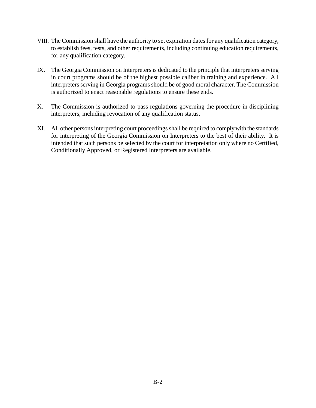- VIII. The Commission shall have the authority to set expiration dates for any qualification category, to establish fees, tests, and other requirements, including continuing education requirements, for any qualification category.
- IX. The Georgia Commission on Interpreters is dedicated to the principle that interpreters serving in court programs should be of the highest possible caliber in training and experience. All interpreters serving in Georgia programs should be of good moral character. The Commission is authorized to enact reasonable regulations to ensure these ends.
- X. The Commission is authorized to pass regulations governing the procedure in disciplining interpreters, including revocation of any qualification status.
- XI. All other persons interpreting court proceedings shall be required to comply with the standards for interpreting of the Georgia Commission on Interpreters to the best of their ability. It is intended that such persons be selected by the court for interpretation only where no Certified, Conditionally Approved, or Registered Interpreters are available.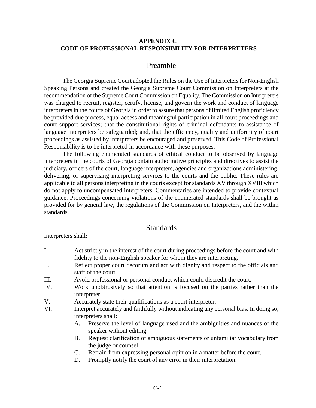#### **APPENDIX C CODE OF PROFESSIONAL RESPONSIBILITY FOR INTERPRETERS**

## Preamble

The Georgia Supreme Court adopted the Rules on the Use of Interpreters for Non-English Speaking Persons and created the Georgia Supreme Court Commission on Interpreters at the recommendation of the Supreme Court Commission on Equality. The Commission on Interpreters was charged to recruit, register, certify, license, and govern the work and conduct of language interpreters in the courts of Georgia in order to assure that persons of limited English proficiency be provided due process, equal access and meaningful participation in all court proceedings and court support services; that the constitutional rights of criminal defendants to assistance of language interpreters be safeguarded; and, that the efficiency, quality and uniformity of court proceedings as assisted by interpreters be encouraged and preserved. This Code of Professional Responsibility is to be interpreted in accordance with these purposes.

The following enumerated standards of ethical conduct to be observed by language interpreters in the courts of Georgia contain authoritative principles and directives to assist the judiciary, officers of the court, language interpreters, agencies and organizations administering, delivering, or supervising interpreting services to the courts and the public. These rules are applicable to all persons interpreting in the courts except for standards XV through XVIII which do not apply to uncompensated interpreters. Commentaries are intended to provide contextual guidance. Proceedings concerning violations of the enumerated standards shall be brought as provided for by general law, the regulations of the Commission on Interpreters, and the within standards.

# **Standards**

Interpreters shall:

- I. Act strictly in the interest of the court during proceedings before the court and with fidelity to the non-English speaker for whom they are interpreting.
- II. Reflect proper court decorum and act with dignity and respect to the officials and staff of the court.
- III. Avoid professional or personal conduct which could discredit the court.
- IV. Work unobtrusively so that attention is focused on the parties rather than the interpreter.
- V. Accurately state their qualifications as a court interpreter.
- VI. Interpret accurately and faithfully without indicating any personal bias. In doing so, interpreters shall:
	- A. Preserve the level of language used and the ambiguities and nuances of the speaker without editing.
	- B. Request clarification of ambiguous statements or unfamiliar vocabulary from the judge or counsel.
	- C. Refrain from expressing personal opinion in a matter before the court.
	- D. Promptly notify the court of any error in their interpretation.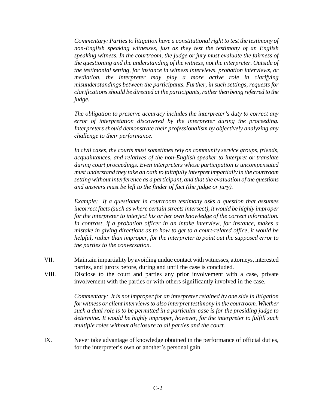*Commentary: Parties to litigation have a constitutional right to test the testimony of non-English speaking witnesses, just as they test the testimony of an English speaking witness. In the courtroom, the judge or jury must evaluate the fairness of the questioning and the understanding of the witness, not the interpreter. Outside of the testimonial setting, for instance in witness interviews, probation interviews, or mediation, the interpreter may play a more active role in clarifying misunderstandings between the participants. Further, in such settings, requests for clarifications should be directed at the participants, rather then being referred to the judge.*

*The obligation to preserve accuracy includes the interpreter's duty to correct any error of interpretation discovered by the interpreter during the proceeding. Interpreters should demonstrate their professionalism by objectively analyzing any challenge to their performance.*

*In civil cases, the courts must sometimes rely on community service groups, friends, acquaintances, and relatives of the non-English speaker to interpret or translate during court proceedings. Even interpreters whose participation is uncompensated must understand they take an oath to faithfully interpret impartially in the courtroom setting without interference as a participant, and that the evaluation of the questions and answers must be left to the finder of fact (the judge or jury).*

*Example: If a questioner in courtroom testimony asks a question that assumes incorrect facts (such as where certain streets intersect), it would be highly improper for the interpreter to interject his or her own knowledge of the correct information. In contrast, if a probation officer in an intake interview, for instance, makes a mistake in giving directions as to how to get to a court-related office, it would be helpful, rather than improper, for the interpreter to point out the supposed error to the parties to the conversation.*

- VII. Maintain impartiality by avoiding undue contact with witnesses, attorneys, interested parties, and jurors before, during and until the case is concluded.
- VIII. Disclose to the court and parties any prior involvement with a case, private involvement with the parties or with others significantly involved in the case.

*Commentary: It is not improper for an interpreter retained by one side in litigation for witness or client interviews to also interpret testimony in the courtroom. Whether such a dual role is to be permitted in a particular case is for the presiding judge to determine. It would be highly improper, however, for the interpreter to fulfill such multiple roles without disclosure to all parties and the court.*

IX. Never take advantage of knowledge obtained in the performance of official duties, for the interpreter's own or another's personal gain.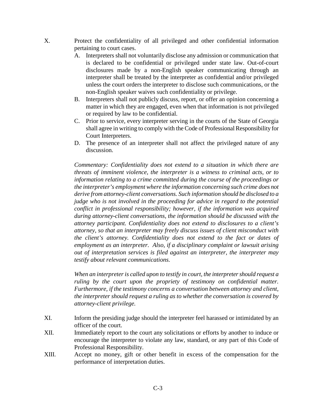- X. Protect the confidentiality of all privileged and other confidential information pertaining to court cases.
	- A. Interpreters shall not voluntarily disclose any admission or communication that is declared to be confidential or privileged under state law. Out-of-court disclosures made by a non-English speaker communicating through an interpreter shall be treated by the interpreter as confidential and/or privileged unless the court orders the interpreter to disclose such communications, or the non-English speaker waives such confidentiality or privilege.
	- B. Interpreters shall not publicly discuss, report, or offer an opinion concerning a matter in which they are engaged, even when that information is not privileged or required by law to be confidential.
	- C. Prior to service, every interpreter serving in the courts of the State of Georgia shall agree in writing to comply with the Code of Professional Responsibility for Court Interpreters.
	- D. The presence of an interpreter shall not affect the privileged nature of any discussion.

*Commentary: Confidentiality does not extend to a situation in which there are threats of imminent violence, the interpreter is a witness to criminal acts, or to information relating to a crime committed during the course of the proceedings or the interpreter's employment where the information concerning such crime does not derive from attorney-client conversations. Such information should be disclosed to a judge who is not involved in the proceeding for advice in regard to the potential conflict in professional responsibility; however, if the information was acquired during attorney-client conversations, the information should be discussed with the attorney participant. Confidentiality does not extend to disclosures to a client's attorney, so that an interpreter may freely discuss issues of client misconduct with the client's attorney. Confidentiality does not extend to the fact or dates of employment as an interpreter. Also, if a disciplinary complaint or lawsuit arising out of interpretation services is filed against an interpreter, the interpreter may testify about relevant communications.*

*When an interpreter is called upon to testify in court, the interpreter should request a*  ruling by the court upon the propriety of testimony on confidential matter. *Furthermore, if the testimony concerns a conversation between attorney and client, the interpreter should request a ruling as to whether the conversation is covered by attorney-client privilege.*

- XI. Inform the presiding judge should the interpreter feel harassed or intimidated by an officer of the court.
- XII. Immediately report to the court any solicitations or efforts by another to induce or encourage the interpreter to violate any law, standard, or any part of this Code of Professional Responsibility.
- XIII. Accept no money, gift or other benefit in excess of the compensation for the performance of interpretation duties.